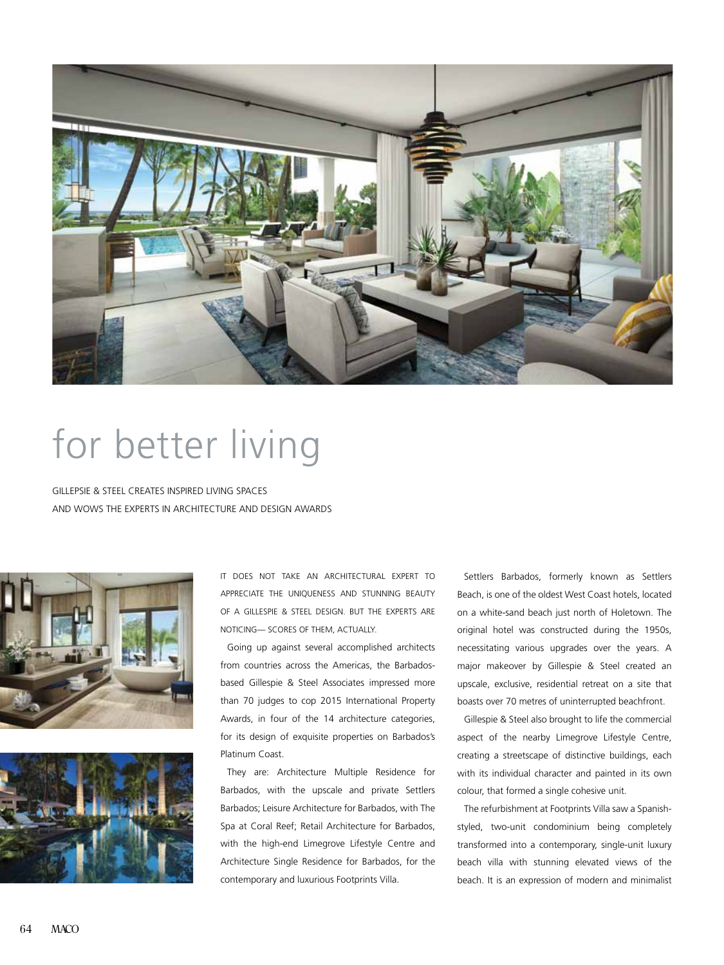

## for better living

Gillepsie & Steel creates inspired living spaces and wows the experts in architecture and design awards





It does not take an architectural expert to appreciate the uniqueness and stunning beauty of a Gillespie & Steel design. But the experts are noticing— scores of them, actually.

 Going up against several accomplished architects from countries across the Americas, the Barbadosbased Gillespie & Steel Associates impressed more than 70 judges to cop 2015 International Property Awards, in four of the 14 architecture categories, for its design of exquisite properties on Barbados's Platinum Coast.

 They are: Architecture Multiple Residence for Barbados, with the upscale and private Settlers Barbados; Leisure Architecture for Barbados, with The Spa at Coral Reef; Retail Architecture for Barbados, with the high-end Limegrove Lifestyle Centre and Architecture Single Residence for Barbados, for the contemporary and luxurious Footprints Villa.

 Settlers Barbados, formerly known as Settlers Beach, is one of the oldest West Coast hotels, located on a white-sand beach just north of Holetown. The original hotel was constructed during the 1950s, necessitating various upgrades over the years. A major makeover by Gillespie & Steel created an upscale, exclusive, residential retreat on a site that boasts over 70 metres of uninterrupted beachfront.

 Gillespie & Steel also brought to life the commercial aspect of the nearby Limegrove Lifestyle Centre, creating a streetscape of distinctive buildings, each with its individual character and painted in its own colour, that formed a single cohesive unit.

 The refurbishment at Footprints Villa saw a Spanishstyled, two-unit condominium being completely transformed into a contemporary, single-unit luxury beach villa with stunning elevated views of the beach. It is an expression of modern and minimalist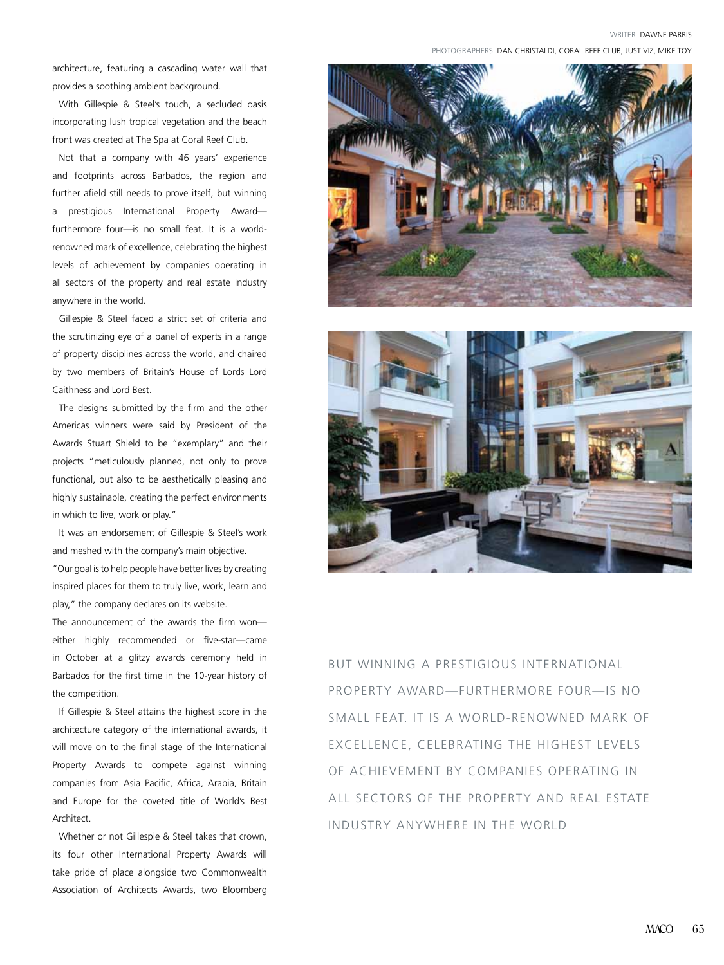WRITER Dawne Parris

PHOTOGRAPHERS DAN CHRISTALDI, CORAL REEF CLUB, JUST VIZ, MIKE TOY

architecture, featuring a cascading water wall that provides a soothing ambient background.

With Gillespie & Steel's touch, a secluded oasis incorporating lush tropical vegetation and the beach front was created at The Spa at Coral Reef Club.

 Not that a company with 46 years' experience and footprints across Barbados, the region and further afield still needs to prove itself, but winning a prestigious International Property Award furthermore four—is no small feat. It is a worldrenowned mark of excellence, celebrating the highest levels of achievement by companies operating in all sectors of the property and real estate industry anywhere in the world.

 Gillespie & Steel faced a strict set of criteria and the scrutinizing eye of a panel of experts in a range of property disciplines across the world, and chaired by two members of Britain's House of Lords Lord Caithness and Lord Best.

 The designs submitted by the firm and the other Americas winners were said by President of the Awards Stuart Shield to be "exemplary" and their projects "meticulously planned, not only to prove functional, but also to be aesthetically pleasing and highly sustainable, creating the perfect environments in which to live, work or play."

It was an endorsement of Gillespie & Steel's work and meshed with the company's main objective.

"Our goal is to help people have better lives by creating inspired places for them to truly live, work, learn and play," the company declares on its website.

The announcement of the awards the firm won either highly recommended or five-star—came in October at a glitzy awards ceremony held in Barbados for the first time in the 10-year history of the competition.

If Gillespie & Steel attains the highest score in the architecture category of the international awards, it will move on to the final stage of the International Property Awards to compete against winning companies from Asia Pacific, Africa, Arabia, Britain and Europe for the coveted title of World's Best Architect.

Whether or not Gillespie & Steel takes that crown, its four other International Property Awards will take pride of place alongside two Commonwealth Association of Architects Awards, two Bloomberg





but winning a prestigious International Property Award—furthermore four—is no small feat. It is a world-renowned mark of excellence, celebrating the highest levels of achievement by companies operating in all sectors of the property and real estate industry anywhere in the world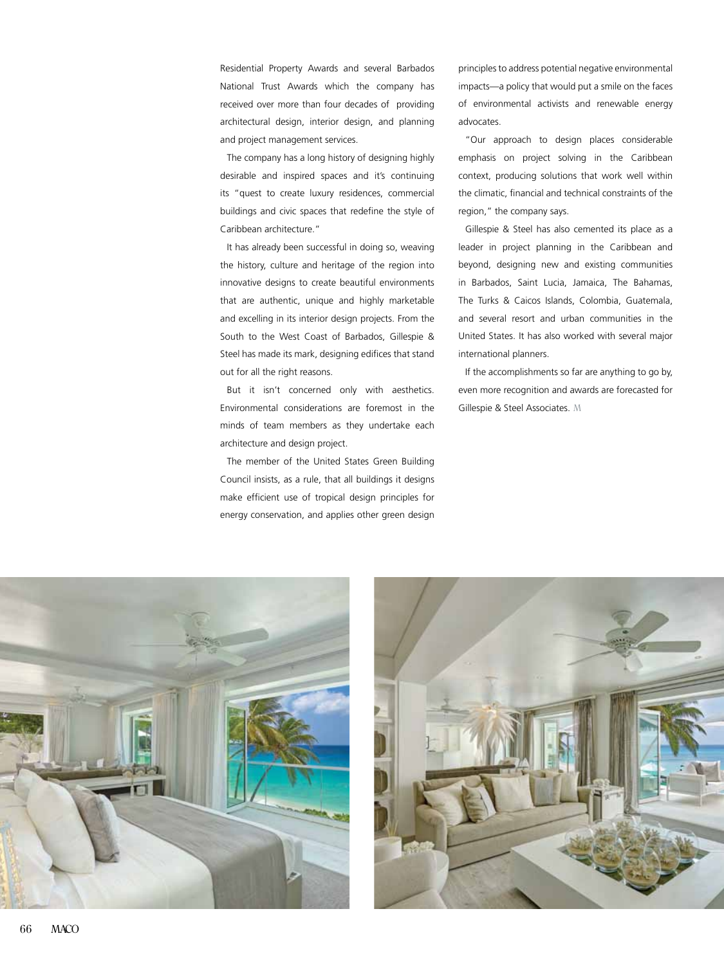Residential Property Awards and several Barbados National Trust Awards which the company has received over more than four decades of providing architectural design, interior design, and planning and project management services.

 The company has a long history of designing highly desirable and inspired spaces and it's continuing its "quest to create luxury residences, commercial buildings and civic spaces that redefine the style of Caribbean architecture."

It has already been successful in doing so, weaving the history, culture and heritage of the region into innovative designs to create beautiful environments that are authentic, unique and highly marketable and excelling in its interior design projects. From the South to the West Coast of Barbados, Gillespie & Steel has made its mark, designing edifices that stand out for all the right reasons.

 But it isn't concerned only with aesthetics. Environmental considerations are foremost in the minds of team members as they undertake each architecture and design project.

 The member of the United States Green Building Council insists, as a rule, that all buildings it designs make efficient use of tropical design principles for energy conservation, and applies other green design principles to address potential negative environmental impacts—a policy that would put a smile on the faces of environmental activists and renewable energy advocates.

"Our approach to design places considerable emphasis on project solving in the Caribbean context, producing solutions that work well within the climatic, financial and technical constraints of the region," the company says.

 Gillespie & Steel has also cemented its place as a leader in project planning in the Caribbean and beyond, designing new and existing communities in Barbados, Saint Lucia, Jamaica, The Bahamas, The Turks & Caicos Islands, Colombia, Guatemala, and several resort and urban communities in the United States. It has also worked with several major international planners.

If the accomplishments so far are anything to go by, even more recognition and awards are forecasted for Gillespie & Steel Associates. M